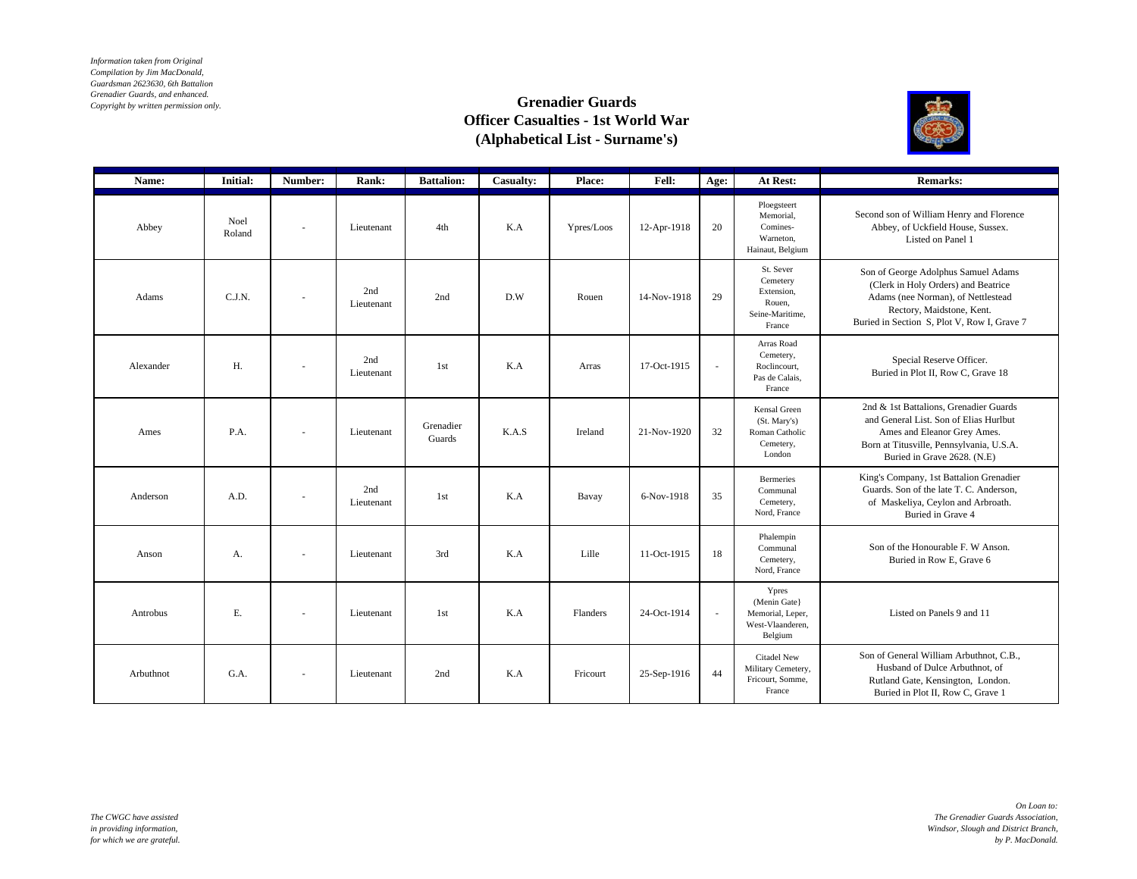*Information taken from Original Compilation by Jim MacDonald, Guardsman 2623630, 6th Battalion Grenadier Guards, and enhanced. Copyright by written permission only.*

## **Grenadier Guards Officer Casualties - 1st World War (Alphabetical List - Surname's)**



| Name:     | <b>Initial:</b> | Number:                  | Rank:             | <b>Battalion:</b>   | Casualty: | Place:     | Fell:       | Age:                     | At Rest:                                                                   | <b>Remarks:</b>                                                                                                                                                                              |
|-----------|-----------------|--------------------------|-------------------|---------------------|-----------|------------|-------------|--------------------------|----------------------------------------------------------------------------|----------------------------------------------------------------------------------------------------------------------------------------------------------------------------------------------|
| Abbey     | Noel<br>Roland  |                          | Lieutenant        | 4th                 | K.A       | Ypres/Loos | 12-Apr-1918 | 20                       | Ploegsteert<br>Memorial,<br>Comines-<br>Warneton.<br>Hainaut, Belgium      | Second son of William Henry and Florence<br>Abbey, of Uckfield House, Sussex.<br>Listed on Panel 1                                                                                           |
| Adams     | C.J.N.          |                          | 2nd<br>Lieutenant | 2nd                 | D.W       | Rouen      | 14-Nov-1918 | 29                       | St. Sever<br>Cemetery<br>Extension,<br>Rouen.<br>Seine-Maritime,<br>France | Son of George Adolphus Samuel Adams<br>(Clerk in Holy Orders) and Beatrice<br>Adams (nee Norman), of Nettlestead<br>Rectory, Maidstone, Kent.<br>Buried in Section S, Plot V, Row I, Grave 7 |
| Alexander | H.              | $\overline{\phantom{a}}$ | 2nd<br>Lieutenant | 1st                 | K.A       | Arras      | 17-Oct-1915 | $\overline{\phantom{a}}$ | Arras Road<br>Cemetery,<br>Roclincourt,<br>Pas de Calais,<br>France        | Special Reserve Officer.<br>Buried in Plot II, Row C, Grave 18                                                                                                                               |
| Ames      | P.A.            | $\sim$                   | Lieutenant        | Grenadier<br>Guards | K.A.S     | Ireland    | 21-Nov-1920 | 32                       | Kensal Green<br>(St. Mary's)<br>Roman Catholic<br>Cemetery,<br>London      | 2nd & 1st Battalions, Grenadier Guards<br>and General List. Son of Elias Hurlbut<br>Ames and Eleanor Grey Ames.<br>Born at Titusville, Pennsylvania, U.S.A.<br>Buried in Grave 2628. (N.E)   |
| Anderson  | A.D.            | $\sim$                   | 2nd<br>Lieutenant | 1st                 | K.A       | Bavay      | 6-Nov-1918  | 35                       | <b>Bermeries</b><br>Communal<br>Cemetery,<br>Nord, France                  | King's Company, 1st Battalion Grenadier<br>Guards. Son of the late T. C. Anderson,<br>of Maskeliya, Ceylon and Arbroath.<br>Buried in Grave 4                                                |
| Anson     | A.              | $\sim$                   | Lieutenant        | 3rd                 | K.A       | Lille      | 11-Oct-1915 | 18                       | Phalempin<br>Communal<br>Cemetery,<br>Nord, France                         | Son of the Honourable F. W Anson.<br>Buried in Row E, Grave 6                                                                                                                                |
| Antrobus  | E.              | $\sim$                   | Lieutenant        | 1st                 | K.A       | Flanders   | 24-Oct-1914 | $\mathbf{r}$             | Ypres<br>(Menin Gate)<br>Memorial, Leper,<br>West-Vlaanderen,<br>Belgium   | Listed on Panels 9 and 11                                                                                                                                                                    |
| Arbuthnot | G.A.            | $\sim$                   | Lieutenant        | 2nd                 | K.A       | Fricourt   | 25-Sep-1916 | 44                       | Citadel New<br>Military Cemetery,<br>Fricourt, Somme.<br>France            | Son of General William Arbuthnot, C.B.,<br>Husband of Dulce Arbuthnot, of<br>Rutland Gate, Kensington, London.<br>Buried in Plot II, Row C, Grave 1                                          |